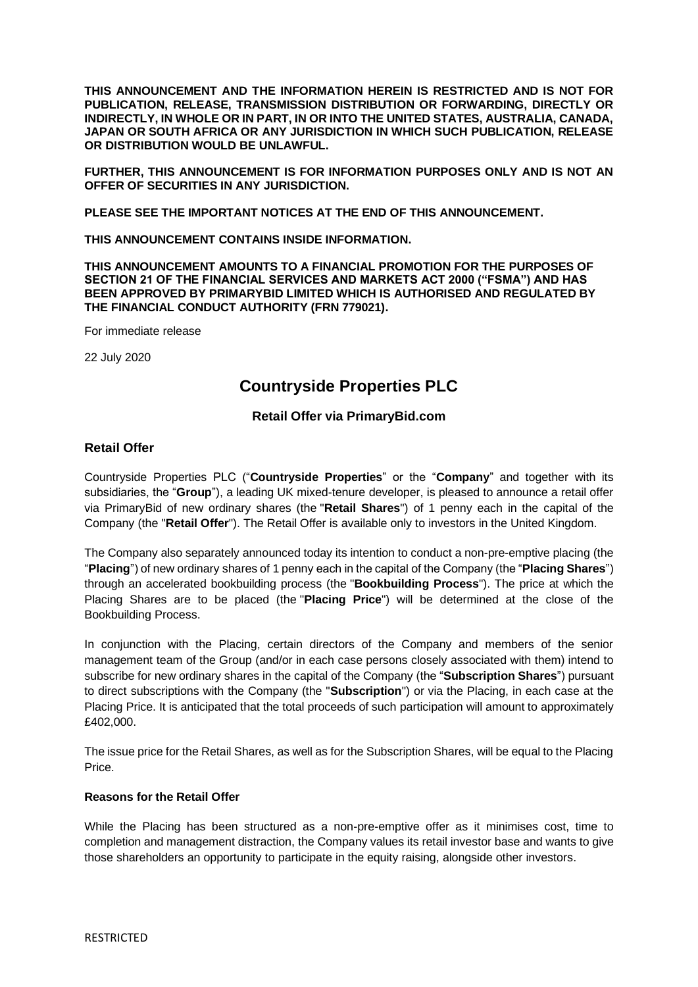**THIS ANNOUNCEMENT AND THE INFORMATION HEREIN IS RESTRICTED AND IS NOT FOR PUBLICATION, RELEASE, TRANSMISSION DISTRIBUTION OR FORWARDING, DIRECTLY OR INDIRECTLY, IN WHOLE OR IN PART, IN OR INTO THE UNITED STATES, AUSTRALIA, CANADA, JAPAN OR SOUTH AFRICA OR ANY JURISDICTION IN WHICH SUCH PUBLICATION, RELEASE OR DISTRIBUTION WOULD BE UNLAWFUL.**

**FURTHER, THIS ANNOUNCEMENT IS FOR INFORMATION PURPOSES ONLY AND IS NOT AN OFFER OF SECURITIES IN ANY JURISDICTION.** 

**PLEASE SEE THE IMPORTANT NOTICES AT THE END OF THIS ANNOUNCEMENT.**

**THIS ANNOUNCEMENT CONTAINS INSIDE INFORMATION.**

**THIS ANNOUNCEMENT AMOUNTS TO A FINANCIAL PROMOTION FOR THE PURPOSES OF SECTION 21 OF THE FINANCIAL SERVICES AND MARKETS ACT 2000 ("FSMA") AND HAS BEEN APPROVED BY PRIMARYBID LIMITED WHICH IS AUTHORISED AND REGULATED BY THE FINANCIAL CONDUCT AUTHORITY (FRN 779021).**

For immediate release

22 July 2020

# **Countryside Properties PLC**

## **Retail Offer via PrimaryBid.com**

### **Retail Offer**

Countryside Properties PLC ("**Countryside Properties**" or the "**Company**" and together with its subsidiaries, the "**Group**"), a leading UK mixed-tenure developer, is pleased to announce a retail offer via PrimaryBid of new ordinary shares (the "**Retail Shares**") of 1 penny each in the capital of the Company (the "**Retail Offer**"). The Retail Offer is available only to investors in the United Kingdom.

The Company also separately announced today its intention to conduct a non-pre-emptive placing (the "**Placing**") of new ordinary shares of 1 penny each in the capital of the Company (the "**Placing Shares**") through an accelerated bookbuilding process (the "**Bookbuilding Process**"). The price at which the Placing Shares are to be placed (the "**Placing Price**") will be determined at the close of the Bookbuilding Process.

In conjunction with the Placing, certain directors of the Company and members of the senior management team of the Group (and/or in each case persons closely associated with them) intend to subscribe for new ordinary shares in the capital of the Company (the "**Subscription Shares**") pursuant to direct subscriptions with the Company (the "**Subscription**") or via the Placing, in each case at the Placing Price. It is anticipated that the total proceeds of such participation will amount to approximately £402,000.

The issue price for the Retail Shares, as well as for the Subscription Shares, will be equal to the Placing Price.

### **Reasons for the Retail Offer**

While the Placing has been structured as a non-pre-emptive offer as it minimises cost, time to completion and management distraction, the Company values its retail investor base and wants to give those shareholders an opportunity to participate in the equity raising, alongside other investors.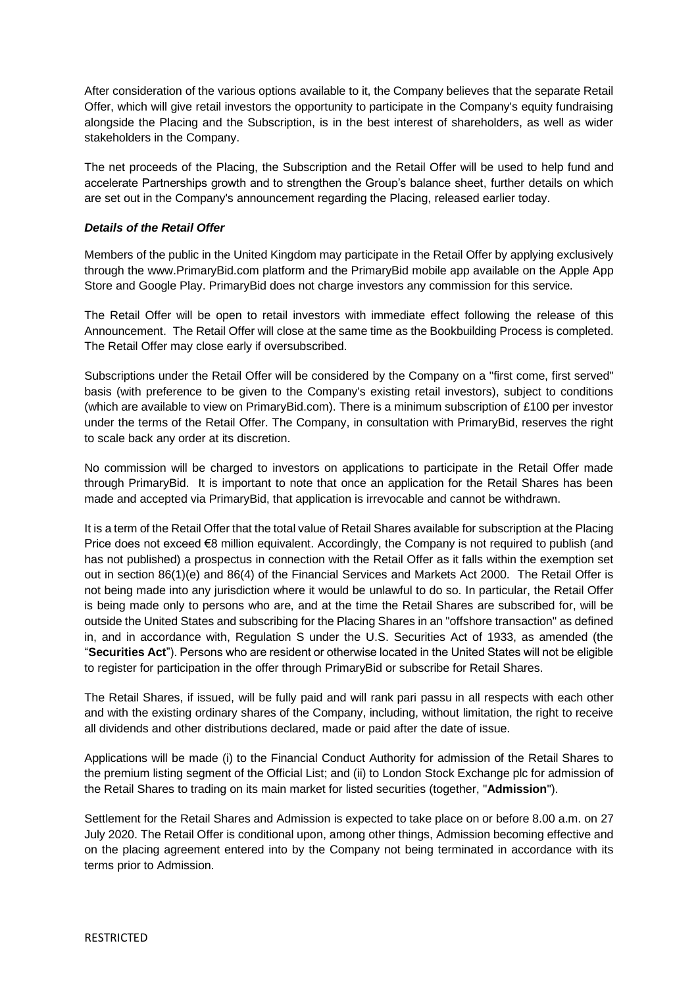After consideration of the various options available to it, the Company believes that the separate Retail Offer, which will give retail investors the opportunity to participate in the Company's equity fundraising alongside the Placing and the Subscription, is in the best interest of shareholders, as well as wider stakeholders in the Company.

The net proceeds of the Placing, the Subscription and the Retail Offer will be used to help fund and accelerate Partnerships growth and to strengthen the Group's balance sheet, further details on which are set out in the Company's announcement regarding the Placing, released earlier today.

### *Details of the Retail Offer*

Members of the public in the United Kingdom may participate in the Retail Offer by applying exclusively through the www.PrimaryBid.com platform and the PrimaryBid mobile app available on the Apple App Store and Google Play. PrimaryBid does not charge investors any commission for this service.

The Retail Offer will be open to retail investors with immediate effect following the release of this Announcement. The Retail Offer will close at the same time as the Bookbuilding Process is completed. The Retail Offer may close early if oversubscribed.

Subscriptions under the Retail Offer will be considered by the Company on a "first come, first served" basis (with preference to be given to the Company's existing retail investors), subject to conditions (which are available to view on PrimaryBid.com). There is a minimum subscription of £100 per investor under the terms of the Retail Offer. The Company, in consultation with PrimaryBid, reserves the right to scale back any order at its discretion.

No commission will be charged to investors on applications to participate in the Retail Offer made through PrimaryBid. It is important to note that once an application for the Retail Shares has been made and accepted via PrimaryBid, that application is irrevocable and cannot be withdrawn.

It is a term of the Retail Offer that the total value of Retail Shares available for subscription at the Placing Price does not exceed €8 million equivalent. Accordingly, the Company is not required to publish (and has not published) a prospectus in connection with the Retail Offer as it falls within the exemption set out in section 86(1)(e) and 86(4) of the Financial Services and Markets Act 2000. The Retail Offer is not being made into any jurisdiction where it would be unlawful to do so. In particular, the Retail Offer is being made only to persons who are, and at the time the Retail Shares are subscribed for, will be outside the United States and subscribing for the Placing Shares in an "offshore transaction" as defined in, and in accordance with, Regulation S under the U.S. Securities Act of 1933, as amended (the "**Securities Act**"). Persons who are resident or otherwise located in the United States will not be eligible to register for participation in the offer through PrimaryBid or subscribe for Retail Shares.

The Retail Shares, if issued, will be fully paid and will rank pari passu in all respects with each other and with the existing ordinary shares of the Company, including, without limitation, the right to receive all dividends and other distributions declared, made or paid after the date of issue.

Applications will be made (i) to the Financial Conduct Authority for admission of the Retail Shares to the premium listing segment of the Official List; and (ii) to London Stock Exchange plc for admission of the Retail Shares to trading on its main market for listed securities (together, "**Admission**").

Settlement for the Retail Shares and Admission is expected to take place on or before 8.00 a.m. on 27 July 2020. The Retail Offer is conditional upon, among other things, Admission becoming effective and on the placing agreement entered into by the Company not being terminated in accordance with its terms prior to Admission.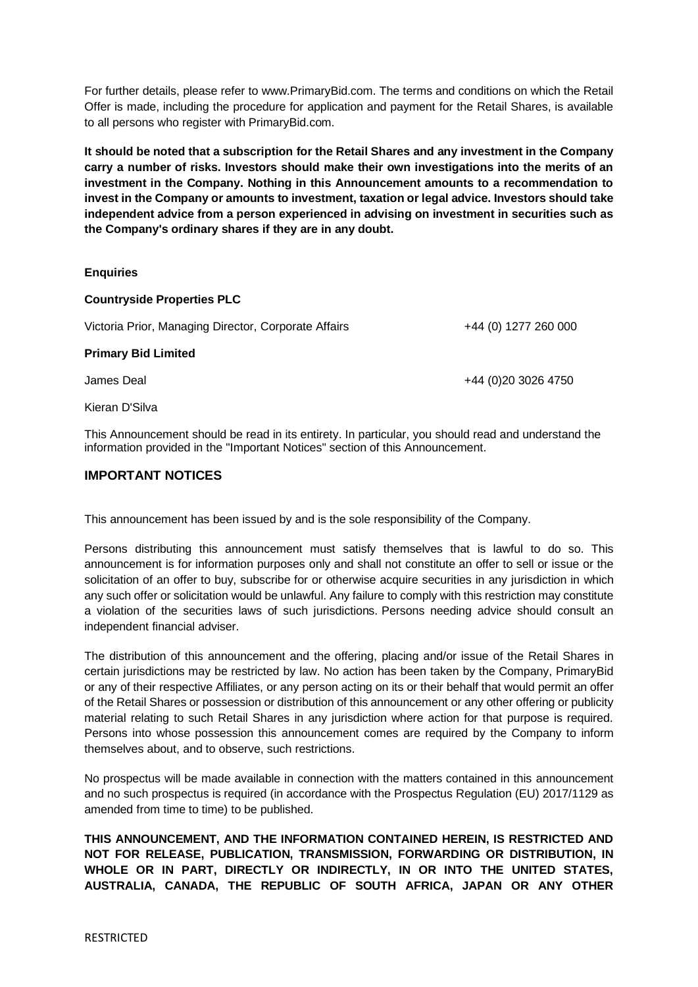For further details, please refer to www.PrimaryBid.com. The terms and conditions on which the Retail Offer is made, including the procedure for application and payment for the Retail Shares, is available to all persons who register with PrimaryBid.com.

**It should be noted that a subscription for the Retail Shares and any investment in the Company carry a number of risks. Investors should make their own investigations into the merits of an investment in the Company. Nothing in this Announcement amounts to a recommendation to invest in the Company or amounts to investment, taxation or legal advice. Investors should take independent advice from a person experienced in advising on investment in securities such as the Company's ordinary shares if they are in any doubt.**

### **Enquiries**

#### **Countryside Properties PLC**

| Victoria Prior, Managing Director, Corporate Affairs | +44 (0) 1277 260 000 |
|------------------------------------------------------|----------------------|
| <b>Primary Bid Limited</b>                           |                      |
| James Deal                                           | +44 (0)20 3026 4750  |

Kieran D'Silva

This Announcement should be read in its entirety. In particular, you should read and understand the information provided in the "Important Notices" section of this Announcement.

### **IMPORTANT NOTICES**

This announcement has been issued by and is the sole responsibility of the Company.

Persons distributing this announcement must satisfy themselves that is lawful to do so. This announcement is for information purposes only and shall not constitute an offer to sell or issue or the solicitation of an offer to buy, subscribe for or otherwise acquire securities in any jurisdiction in which any such offer or solicitation would be unlawful. Any failure to comply with this restriction may constitute a violation of the securities laws of such jurisdictions. Persons needing advice should consult an independent financial adviser.

The distribution of this announcement and the offering, placing and/or issue of the Retail Shares in certain jurisdictions may be restricted by law. No action has been taken by the Company, PrimaryBid or any of their respective Affiliates, or any person acting on its or their behalf that would permit an offer of the Retail Shares or possession or distribution of this announcement or any other offering or publicity material relating to such Retail Shares in any jurisdiction where action for that purpose is required. Persons into whose possession this announcement comes are required by the Company to inform themselves about, and to observe, such restrictions.

No prospectus will be made available in connection with the matters contained in this announcement and no such prospectus is required (in accordance with the Prospectus Regulation (EU) 2017/1129 as amended from time to time) to be published.

**THIS ANNOUNCEMENT, AND THE INFORMATION CONTAINED HEREIN, IS RESTRICTED AND NOT FOR RELEASE, PUBLICATION, TRANSMISSION, FORWARDING OR DISTRIBUTION, IN WHOLE OR IN PART, DIRECTLY OR INDIRECTLY, IN OR INTO THE UNITED STATES, AUSTRALIA, CANADA, THE REPUBLIC OF SOUTH AFRICA, JAPAN OR ANY OTHER**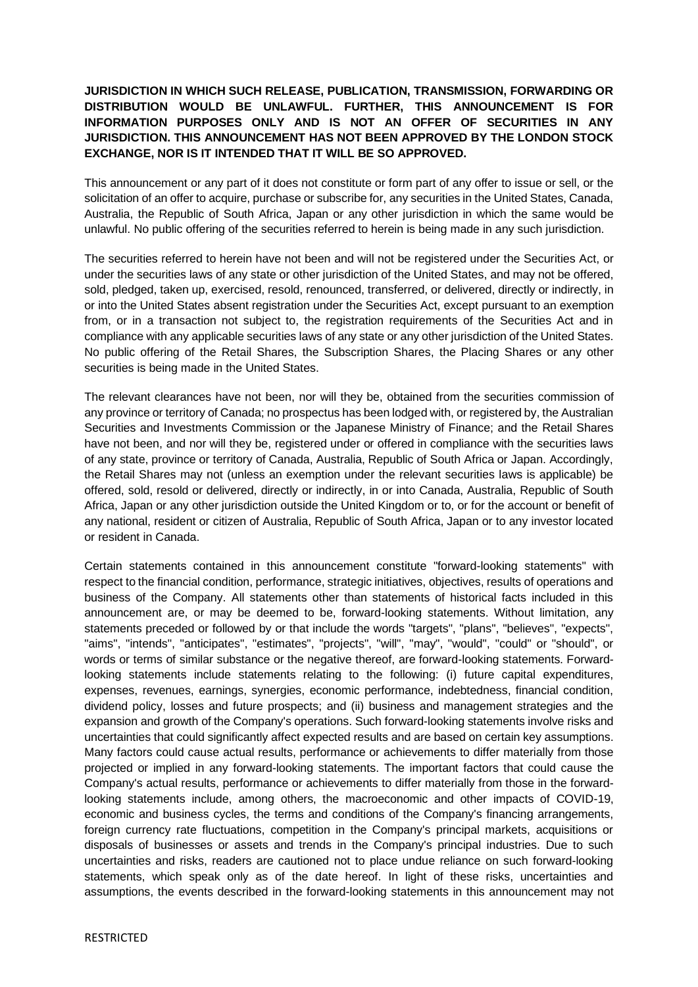## **JURISDICTION IN WHICH SUCH RELEASE, PUBLICATION, TRANSMISSION, FORWARDING OR DISTRIBUTION WOULD BE UNLAWFUL. FURTHER, THIS ANNOUNCEMENT IS FOR INFORMATION PURPOSES ONLY AND IS NOT AN OFFER OF SECURITIES IN ANY JURISDICTION. THIS ANNOUNCEMENT HAS NOT BEEN APPROVED BY THE LONDON STOCK EXCHANGE, NOR IS IT INTENDED THAT IT WILL BE SO APPROVED.**

This announcement or any part of it does not constitute or form part of any offer to issue or sell, or the solicitation of an offer to acquire, purchase or subscribe for, any securities in the United States, Canada, Australia, the Republic of South Africa, Japan or any other jurisdiction in which the same would be unlawful. No public offering of the securities referred to herein is being made in any such jurisdiction.

The securities referred to herein have not been and will not be registered under the Securities Act, or under the securities laws of any state or other jurisdiction of the United States, and may not be offered, sold, pledged, taken up, exercised, resold, renounced, transferred, or delivered, directly or indirectly, in or into the United States absent registration under the Securities Act, except pursuant to an exemption from, or in a transaction not subject to, the registration requirements of the Securities Act and in compliance with any applicable securities laws of any state or any other jurisdiction of the United States. No public offering of the Retail Shares, the Subscription Shares, the Placing Shares or any other securities is being made in the United States.

The relevant clearances have not been, nor will they be, obtained from the securities commission of any province or territory of Canada; no prospectus has been lodged with, or registered by, the Australian Securities and Investments Commission or the Japanese Ministry of Finance; and the Retail Shares have not been, and nor will they be, registered under or offered in compliance with the securities laws of any state, province or territory of Canada, Australia, Republic of South Africa or Japan. Accordingly, the Retail Shares may not (unless an exemption under the relevant securities laws is applicable) be offered, sold, resold or delivered, directly or indirectly, in or into Canada, Australia, Republic of South Africa, Japan or any other jurisdiction outside the United Kingdom or to, or for the account or benefit of any national, resident or citizen of Australia, Republic of South Africa, Japan or to any investor located or resident in Canada.

Certain statements contained in this announcement constitute "forward-looking statements" with respect to the financial condition, performance, strategic initiatives, objectives, results of operations and business of the Company. All statements other than statements of historical facts included in this announcement are, or may be deemed to be, forward-looking statements. Without limitation, any statements preceded or followed by or that include the words "targets", "plans", "believes", "expects", "aims", "intends", "anticipates", "estimates", "projects", "will", "may", "would", "could" or "should", or words or terms of similar substance or the negative thereof, are forward-looking statements. Forwardlooking statements include statements relating to the following: (i) future capital expenditures, expenses, revenues, earnings, synergies, economic performance, indebtedness, financial condition, dividend policy, losses and future prospects; and (ii) business and management strategies and the expansion and growth of the Company's operations. Such forward-looking statements involve risks and uncertainties that could significantly affect expected results and are based on certain key assumptions. Many factors could cause actual results, performance or achievements to differ materially from those projected or implied in any forward-looking statements. The important factors that could cause the Company's actual results, performance or achievements to differ materially from those in the forwardlooking statements include, among others, the macroeconomic and other impacts of COVID-19, economic and business cycles, the terms and conditions of the Company's financing arrangements, foreign currency rate fluctuations, competition in the Company's principal markets, acquisitions or disposals of businesses or assets and trends in the Company's principal industries. Due to such uncertainties and risks, readers are cautioned not to place undue reliance on such forward-looking statements, which speak only as of the date hereof. In light of these risks, uncertainties and assumptions, the events described in the forward-looking statements in this announcement may not